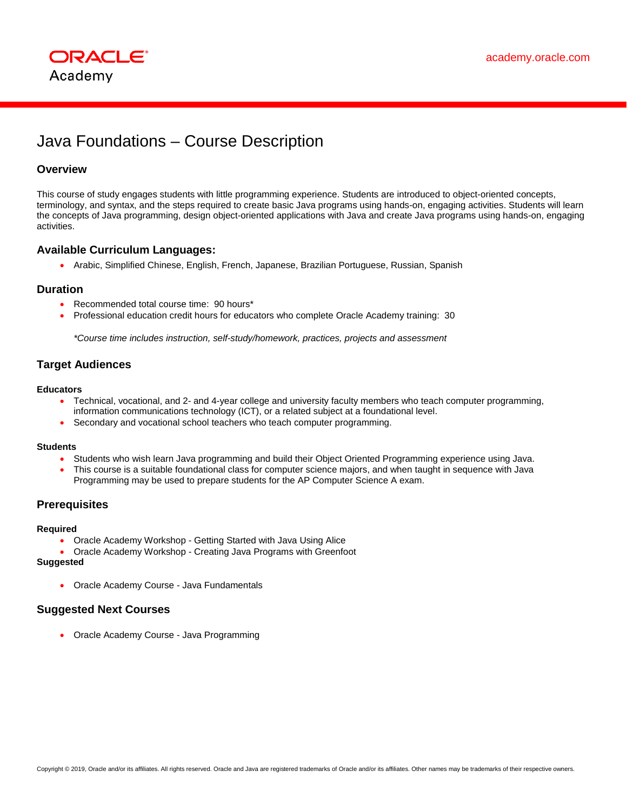

# Java Foundations – Course Description

# **Overview**

This course of study engages students with little programming experience. Students are introduced to object-oriented concepts, terminology, and syntax, and the steps required to create basic Java programs using hands-on, engaging activities. Students will learn the concepts of Java programming, design object-oriented applications with Java and create Java programs using hands-on, engaging activities.

## **Available Curriculum Languages:**

• Arabic, Simplified Chinese, English, French, Japanese, Brazilian Portuguese, Russian, Spanish

## **Duration**

- Recommended total course time: 90 hours\*
- Professional education credit hours for educators who complete Oracle Academy training: 30

*\*Course time includes instruction, self-study/homework, practices, projects and assessment*

# **Target Audiences**

#### **Educators**

- Technical, vocational, and 2- and 4-year college and university faculty members who teach computer programming, information communications technology (ICT), or a related subject at a foundational level.
- Secondary and vocational school teachers who teach computer programming.

## **Students**

- Students who wish learn Java programming and build their Object Oriented Programming experience using Java.
- This course is a suitable foundational class for computer science majors, and when taught in sequence with Java Programming may be used to prepare students for the AP Computer Science A exam.

# **Prerequisites**

#### **Required**

- Oracle Academy Workshop Getting Started with Java Using Alice
- Oracle Academy Workshop Creating Java Programs with Greenfoot

# **Suggested**

• Oracle Academy Course - Java Fundamentals

## **Suggested Next Courses**

• Oracle Academy Course - Java Programming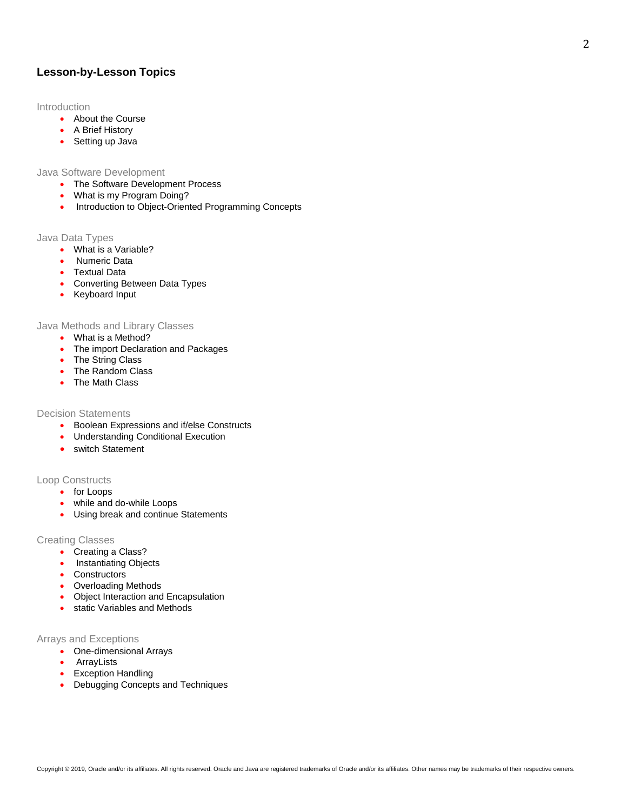## **Lesson-by-Lesson Topics**

## **Introduction**

- About the Course
- A Brief History
- Setting up Java

## Java Software Development

- The Software Development Process
- What is my Program Doing?
- Introduction to Object-Oriented Programming Concepts

#### Java Data Types

- What is a Variable?
- Numeric Data
- Textual Data
- Converting Between Data Types
- Keyboard Input

## Java Methods and Library Classes

- What is a Method?
- The import Declaration and Packages
- The String Class
- The Random Class
- The Math Class

## Decision Statements

- Boolean Expressions and if/else Constructs
- Understanding Conditional Execution
- switch Statement

## Loop Constructs

- for Loops
- while and do-while Loops
- Using break and continue Statements

#### Creating Classes

- Creating a Class?
- Instantiating Objects
- Constructors
- Overloading Methods
- Object Interaction and Encapsulation
- static Variables and Methods

#### Arrays and Exceptions

- One-dimensional Arrays
- ArrayLists
- Exception Handling
- Debugging Concepts and Techniques